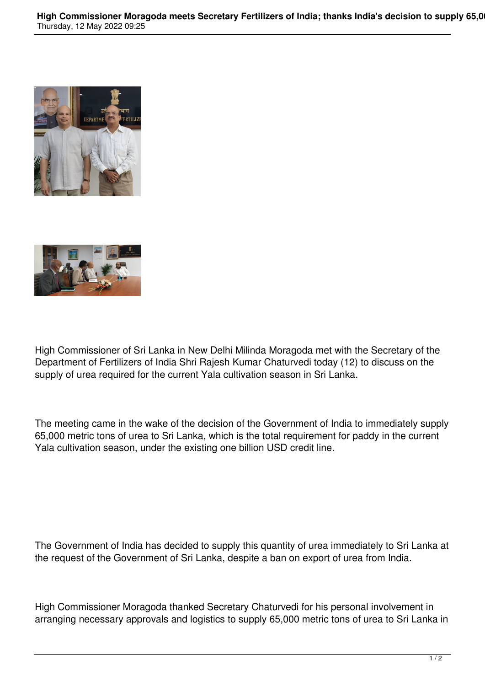



High Commissioner of Sri Lanka in New Delhi Milinda Moragoda met with the Secretary of the Department of Fertilizers of India Shri Rajesh Kumar Chaturvedi today (12) to discuss on the supply of urea required for the current Yala cultivation season in Sri Lanka.

The meeting came in the wake of the decision of the Government of India to immediately supply 65,000 metric tons of urea to Sri Lanka, which is the total requirement for paddy in the current Yala cultivation season, under the existing one billion USD credit line.

The Government of India has decided to supply this quantity of urea immediately to Sri Lanka at the request of the Government of Sri Lanka, despite a ban on export of urea from India.

High Commissioner Moragoda thanked Secretary Chaturvedi for his personal involvement in arranging necessary approvals and logistics to supply 65,000 metric tons of urea to Sri Lanka in